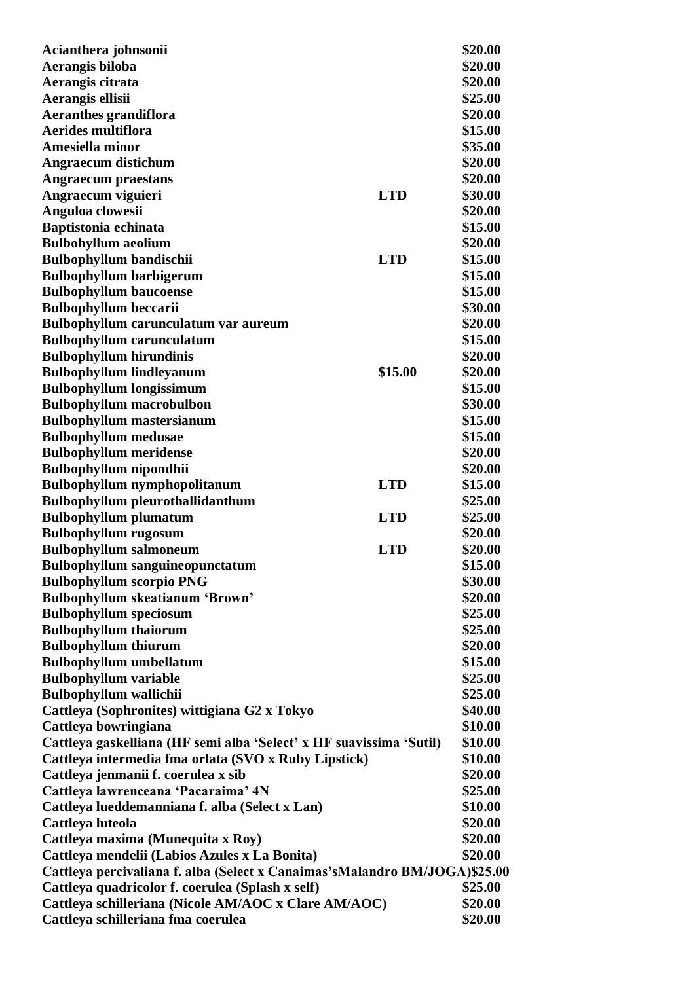| Acianthera johnsonii                                                       |            | \$20.00 |
|----------------------------------------------------------------------------|------------|---------|
| Aerangis biloba                                                            |            | \$20.00 |
| Aerangis citrata                                                           |            | \$20.00 |
| Aerangis ellisii                                                           |            | \$25.00 |
| <b>Aeranthes grandiflora</b>                                               |            | \$20.00 |
| <b>Aerides multiflora</b>                                                  |            | \$15.00 |
| Amesiella minor                                                            |            | \$35.00 |
| <b>Angraecum distichum</b>                                                 |            | \$20.00 |
| <b>Angraecum</b> praestans                                                 |            | \$20.00 |
| Angraecum viguieri                                                         | <b>LTD</b> | \$30.00 |
| Anguloa clowesii                                                           |            | \$20.00 |
| Baptistonia echinata                                                       |            | \$15.00 |
| <b>Bulbohyllum</b> aeolium                                                 |            | \$20.00 |
| <b>Bulbophyllum bandischii</b>                                             | <b>LTD</b> | \$15.00 |
| <b>Bulbophyllum barbigerum</b>                                             |            | \$15.00 |
| <b>Bulbophyllum baucoense</b>                                              |            | \$15.00 |
| <b>Bulbophyllum beccarii</b>                                               |            | \$30.00 |
| Bulbophyllum carunculatum var aureum                                       |            | \$20.00 |
| <b>Bulbophyllum carunculatum</b>                                           |            | \$15.00 |
| <b>Bulbophyllum hirundinis</b>                                             |            | \$20.00 |
| <b>Bulbophyllum lindleyanum</b>                                            | \$15.00    | \$20.00 |
|                                                                            |            | \$15.00 |
| <b>Bulbophyllum longissimum</b>                                            |            |         |
| <b>Bulbophyllum macrobulbon</b>                                            |            | \$30.00 |
| <b>Bulbophyllum</b> mastersianum                                           |            | \$15.00 |
| <b>Bulbophyllum</b> medusae                                                |            | \$15.00 |
| <b>Bulbophyllum meridense</b>                                              |            | \$20.00 |
| <b>Bulbophyllum</b> nipondhii                                              |            | \$20.00 |
| <b>Bulbophyllum</b> nymphopolitanum                                        | <b>LTD</b> | \$15.00 |
| <b>Bulbophyllum pleurothallidanthum</b>                                    |            | \$25.00 |
| <b>Bulbophyllum plumatum</b>                                               | <b>LTD</b> | \$25.00 |
| <b>Bulbophyllum rugosum</b>                                                |            | \$20.00 |
| <b>Bulbophyllum salmoneum</b>                                              | <b>LTD</b> | \$20.00 |
| <b>Bulbophyllum sanguineopunctatum</b>                                     |            | \$15.00 |
| <b>Bulbophyllum scorpio PNG</b>                                            |            | \$30.00 |
| Bulbophyllum skeatianum 'Brown'                                            |            | \$20.00 |
| <b>Bulbophyllum speciosum</b>                                              |            | \$25.00 |
| <b>Bulbophyllum</b> thaiorum                                               |            | \$25.00 |
| <b>Bulbophyllum thiurum</b>                                                |            | \$20.00 |
| <b>Bulbophyllum umbellatum</b>                                             |            | \$15.00 |
| <b>Bulbophyllum variable</b>                                               |            | \$25.00 |
| <b>Bulbophyllum wallichii</b>                                              |            | \$25.00 |
| Cattleya (Sophronites) wittigiana G2 x Tokyo                               |            | \$40.00 |
| Cattleya bowringiana                                                       |            | \$10.00 |
| Cattleya gaskelliana (HF semi alba 'Select' x HF suavissima 'Sutil)        |            | \$10.00 |
| Cattleya intermedia fma orlata (SVO x Ruby Lipstick)                       |            | \$10.00 |
| Cattleya jenmanii f. coerulea x sib                                        |            | \$20.00 |
| Cattleya lawrenceana 'Pacaraima' 4N                                        |            | \$25.00 |
| Cattleya lueddemanniana f. alba (Select x Lan)                             |            | \$10.00 |
| Cattleya luteola                                                           |            | \$20.00 |
| Cattleya maxima (Munequita x Roy)                                          |            | \$20.00 |
| Cattleya mendelii (Labios Azules x La Bonita)                              |            | \$20.00 |
| Cattleya percivaliana f. alba (Select x Canaimas'sMalandro BM/JOGA)\$25.00 |            |         |
| Cattleya quadricolor f. coerulea (Splash x self)                           |            | \$25.00 |
| Cattleya schilleriana (Nicole AM/AOC x Clare AM/AOC)                       |            | \$20.00 |
| Cattleya schilleriana fma coerulea                                         |            | \$20.00 |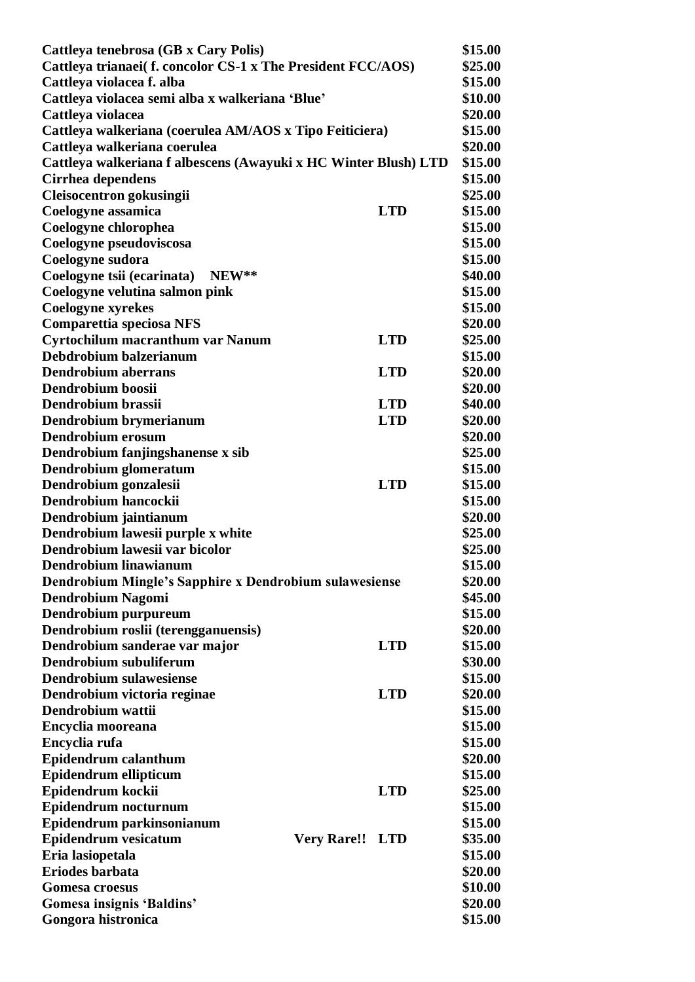| Cattleya tenebrosa (GB x Cary Polis)                            |                        |            | \$15.00 |
|-----------------------------------------------------------------|------------------------|------------|---------|
| Cattleya trianaei(f. concolor CS-1 x The President FCC/AOS)     |                        |            | \$25.00 |
| Cattleya violacea f. alba                                       |                        |            | \$15.00 |
| Cattleya violacea semi alba x walkeriana 'Blue'                 |                        |            | \$10.00 |
| Cattleya violacea                                               |                        |            | \$20.00 |
| Cattleya walkeriana (coerulea AM/AOS x Tipo Feiticiera)         |                        |            | \$15.00 |
| Cattleya walkeriana coerulea                                    |                        |            | \$20.00 |
| Cattleya walkeriana f albescens (Awayuki x HC Winter Blush) LTD |                        |            | \$15.00 |
| Cirrhea dependens                                               |                        |            | \$15.00 |
| Cleisocentron gokusingii                                        |                        |            | \$25.00 |
| Coelogyne assamica                                              |                        | <b>LTD</b> | \$15.00 |
| Coelogyne chlorophea                                            |                        |            | \$15.00 |
| Coelogyne pseudoviscosa                                         |                        |            | \$15.00 |
| Coelogyne sudora                                                |                        |            | \$15.00 |
| NEW**<br>Coelogyne tsii (ecarinata)                             |                        |            | \$40.00 |
| Coelogyne velutina salmon pink                                  |                        |            | \$15.00 |
| <b>Coelogyne xyrekes</b>                                        |                        |            | \$15.00 |
| <b>Comparettia speciosa NFS</b>                                 |                        |            | \$20.00 |
| Cyrtochilum macranthum var Nanum                                |                        | <b>LTD</b> | \$25.00 |
| Debdrobium balzerianum                                          |                        |            | \$15.00 |
| <b>Dendrobium aberrans</b>                                      |                        | <b>LTD</b> | \$20.00 |
| Dendrobium boosii                                               |                        |            | \$20.00 |
| Dendrobium brassii                                              |                        | <b>LTD</b> | \$40.00 |
| Dendrobium brymerianum                                          |                        | <b>LTD</b> | \$20.00 |
| Dendrobium erosum                                               |                        |            | \$20.00 |
| Dendrobium fanjingshanense x sib                                |                        |            | \$25.00 |
| Dendrobium glomeratum                                           |                        |            | \$15.00 |
| Dendrobium gonzalesii                                           |                        | <b>LTD</b> | \$15.00 |
| Dendrobium hancockii                                            |                        |            | \$15.00 |
| Dendrobium jaintianum                                           |                        |            | \$20.00 |
| Dendrobium lawesii purple x white                               |                        |            | \$25.00 |
| Dendrobium lawesii var bicolor                                  |                        |            | \$25.00 |
| Dendrobium linawianum                                           |                        |            | \$15.00 |
|                                                                 |                        |            | \$20.00 |
| Dendrobium Mingle's Sapphire x Dendrobium sulawesiense          |                        |            | \$45.00 |
| <b>Dendrobium Nagomi</b>                                        |                        |            | \$15.00 |
| Dendrobium purpureum                                            |                        |            | \$20.00 |
| Dendrobium roslii (terengganuensis)                             |                        | <b>LTD</b> | \$15.00 |
| Dendrobium sanderae var major<br>Dendrobium subuliferum         |                        |            | \$30.00 |
| <b>Dendrobium sulawesiense</b>                                  |                        |            |         |
|                                                                 |                        |            | \$15.00 |
| Dendrobium victoria reginae<br>Dendrobium wattii                |                        | <b>LTD</b> | \$20.00 |
|                                                                 |                        |            | \$15.00 |
| Encyclia mooreana                                               |                        |            | \$15.00 |
| Encyclia rufa                                                   |                        |            | \$15.00 |
| Epidendrum calanthum                                            |                        |            | \$20.00 |
| Epidendrum ellipticum                                           |                        |            | \$15.00 |
| Epidendrum kockii                                               |                        | <b>LTD</b> | \$25.00 |
| Epidendrum nocturnum                                            |                        |            | \$15.00 |
| Epidendrum parkinsonianum                                       |                        |            | \$15.00 |
| <b>Epidendrum vesicatum</b>                                     | <b>Very Rare!! LTD</b> |            | \$35.00 |
| Eria lasiopetala                                                |                        |            | \$15.00 |
| Eriodes barbata                                                 |                        |            | \$20.00 |
| <b>Gomesa croesus</b>                                           |                        |            | \$10.00 |
| Gomesa insignis 'Baldins'                                       |                        |            | \$20.00 |
| Gongora histronica                                              |                        |            | \$15.00 |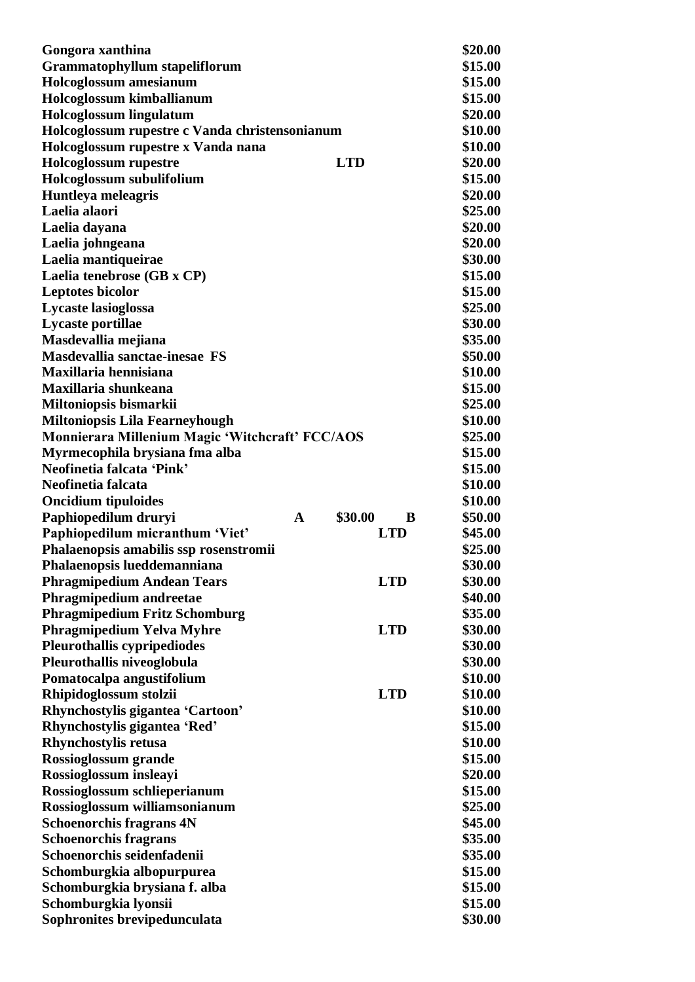| Gongora xanthina                                |   |            | \$20.00      |
|-------------------------------------------------|---|------------|--------------|
| <b>Grammatophyllum stapeliflorum</b>            |   |            | \$15.00      |
| Holcoglossum amesianum                          |   |            | \$15.00      |
| Holcoglossum kimballianum                       |   |            | \$15.00      |
| Holcoglossum lingulatum                         |   |            | \$20.00      |
| Holcoglossum rupestre c Vanda christensonianum  |   |            | \$10.00      |
| Holcoglossum rupestre x Vanda nana              |   |            | \$10.00      |
| <b>Holcoglossum</b> rupestre                    |   | <b>LTD</b> | \$20.00      |
| Holcoglossum subulifolium                       |   |            | \$15.00      |
| <b>Huntleya meleagris</b>                       |   |            | \$20.00      |
| Laelia alaori                                   |   |            | \$25.00      |
| Laelia dayana                                   |   |            | \$20.00      |
| Laelia johngeana                                |   |            | \$20.00      |
| Laelia mantiqueirae                             |   |            | \$30.00      |
| Laelia tenebrose (GB x CP)                      |   |            | \$15.00      |
| <b>Leptotes bicolor</b>                         |   |            | \$15.00      |
| Lycaste lasioglossa                             |   |            | \$25.00      |
| Lycaste portillae                               |   |            | \$30.00      |
| Masdevallia mejiana                             |   |            | \$35.00      |
| Masdevallia sanctae-inesae FS                   |   |            | \$50.00      |
| Maxillaria hennisiana                           |   |            | \$10.00      |
| Maxillaria shunkeana                            |   |            | \$15.00      |
| Miltoniopsis bismarkii                          |   |            | \$25.00      |
| <b>Miltoniopsis Lila Fearneyhough</b>           |   |            | \$10.00      |
| Monnierara Millenium Magic 'Witchcraft' FCC/AOS |   |            | \$25.00      |
| Myrmecophila brysiana fma alba                  |   |            | \$15.00      |
| Neofinetia falcata 'Pink'                       |   |            | \$15.00      |
| Neofinetia falcata                              |   |            | \$10.00      |
| <b>Oncidium tipuloides</b>                      |   |            | \$10.00      |
| Paphiopedilum druryi                            | A | \$30.00    | B<br>\$50.00 |
| Paphiopedilum micranthum 'Viet'                 |   | <b>LTD</b> | \$45.00      |
| Phalaenopsis amabilis ssp rosenstromii          |   |            | \$25.00      |
| Phalaenopsis lueddemanniana                     |   |            | \$30.00      |
| <b>Phragmipedium Andean Tears</b>               |   | <b>LTD</b> | \$30.00      |
| Phragmipedium andreetae                         |   |            | \$40.00      |
| <b>Phragmipedium Fritz Schomburg</b>            |   |            | \$35.00      |
| <b>Phragmipedium Yelva Myhre</b>                |   | <b>LTD</b> | \$30.00      |
| <b>Pleurothallis cypripediodes</b>              |   |            | \$30.00      |
|                                                 |   |            | \$30.00      |
| Pleurothallis niveoglobula                      |   |            |              |
| Pomatocalpa angustifolium                       |   |            | \$10.00      |
| Rhipidoglossum stolzii                          |   | <b>LTD</b> | \$10.00      |
| Rhynchostylis gigantea 'Cartoon'                |   |            | \$10.00      |
| Rhynchostylis gigantea 'Red'                    |   |            | \$15.00      |
| <b>Rhynchostylis retusa</b>                     |   |            | \$10.00      |
| Rossioglossum grande                            |   |            | \$15.00      |
| Rossioglossum insleayi                          |   |            | \$20.00      |
| Rossioglossum schlieperianum                    |   |            | \$15.00      |
| Rossioglossum williamsonianum                   |   |            | \$25.00      |
| <b>Schoenorchis fragrans 4N</b>                 |   |            | \$45.00      |
| <b>Schoenorchis fragrans</b>                    |   |            | \$35.00      |
| Schoenorchis seidenfadenii                      |   |            | \$35.00      |
| Schomburgkia albopurpurea                       |   |            | \$15.00      |
| Schomburgkia brysiana f. alba                   |   |            | \$15.00      |
| Schomburgkia lyonsii                            |   |            | \$15.00      |
| Sophronites brevipedunculata                    |   |            | \$30.00      |